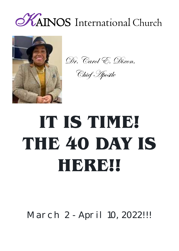



Dr. Carol E. Dixon,

Chief Apostle

# **IT IS TIME! THE 40 DAY IS HERE!!**

March 2 - April 10, 2022!!!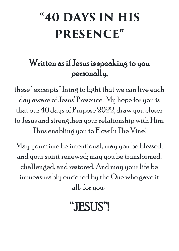## "40 DAYS IN HIS **PRESENCE"**

## Written as if Jesus is speaking to you personally,

these "excerpts" bring to light that we can live each day aware of Jesus' Presence. My hope for you is that our 40 days of Purpose 2022, draw you closer to Jesus and strengthen your relationship with Him. Thus enabling you to Flow In The Vine!

May your time be intentional, may you be blessed, and your spirit renewed; may you be transformed, challenged, and restored. And may your life be immeasurably enriched by the One who gave it all-for you-

## "JESUS"!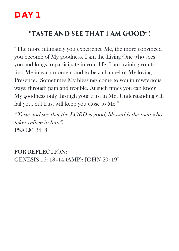#### "TASTE AND SEE THAT I AM GOOD"!

"The more intimately you experience Me, the more convinced you become of My goodness. I am the Living One who sees you and longs to participate in your life. I am training you to find Me in each moment and to be a channel of My loving Presence. Sometimes My blessings come to you in mysterious ways: through pain and trouble. At such times you can know My goodness only through your trust in Me. Understanding will fail you, but trust will keep you close to Me."

"Taste and see that the LORD is good; blessed is the man who takes refuge in him". PSALM 34: 8

FOR REFLECTION: GENESIS 16: 13–14 (AMP); JOHN 20: 19"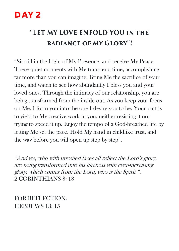## "LET MY LOVE ENFOLD YOU IN THE **RADIANCE OF MY GLORY"!**

"Sit still in the Light of My Presence, and receive My Peace. These quiet moments with Me transcend time, accomplishing far more than you can imagine. Bring Me the sacrifice of your time, and watch to see how abundantly I bless you and your loved ones. Through the intimacy of our relationship, you are being transformed from the inside out. As you keep your focus on Me, I form you into the one I desire you to be. Your part is to yield to My creative work in you, neither resisting it nor trying to speed it up. Enjoy the tempo of a God-breathed life by letting Me set the pace. Hold My hand in childlike trust, and the way before you will open up step by step".

"And we, who with unveiled faces all reflect the Lord's glory, are being transformed into his likeness with ever-increasing glory, which comes from the Lord, who is the Spirit ". 2 CORINTHIANS 3: 18

FOR REFLECTION: HEBREWS 13: 15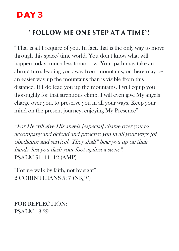#### "FOLLOW ME ONE STEP AT A TIME"!

"That is all I require of you. In fact, that is the only way to move through this space/ time world. You don't know what will happen today, much less tomorrow. Your path may take an abrupt turn, leading you away from mountains, or there may be an easier way up the mountains than is visible from this distance. If I do lead you up the mountains, I will equip you thoroughly for that strenuous climb. I will even give My angels charge over you, to preserve you in all your ways. Keep your mind on the present journey, enjoying My Presence".

"For He will give His angels [especial] charge over you to accompany and defend and preserve you in all your ways [of obedience and service]. They shall" bear you up on their hands, lest you dash your foot against a stone". PSALM 91: 11–12 (AMP)

"For we walk by faith, not by sight". 2 CORINTHIANS 5: 7 (NKJV)

FOR REFLECTION: PSALM 18:29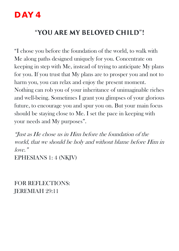#### "YOU ARE MY BELOVED CHILD"!

"I chose you before the foundation of the world, to walk with Me along paths designed uniquely for you. Concentrate on keeping in step with Me, instead of trying to anticipate My plans for you. If you trust that My plans are to prosper you and not to harm you, you can relax and enjoy the present moment. Nothing can rob you of your inheritance of unimaginable riches and well-being. Sometimes I grant you glimpses of your glorious future, to encourage you and spur you on. But your main focus should be staying close to Me. I set the pace in keeping with your needs and My purposes".

"Just as He chose us in Him before the foundation of the world, that we should be holy and without blame before Him in love." EPHESIANS 1: 4 (NKJV)

FOR REFLECTIONS: JEREMIAH 29:11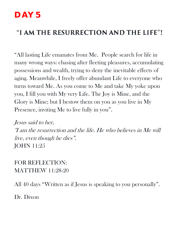#### "I AM THE RESURRECTION AND THE LIFE"!

"All lasting Life emanates from Me. People search for life in many wrong ways: chasing after fleeting pleasures, accumulating possessions and wealth, trying to deny the inevitable effects of aging. Meanwhile, I freely offer abundant Life to everyone who turns toward Me. As you come to Me and take My yoke upon you, I fill you with My very Life. The Joy is Mine, and the Glory is Mine; but I bestow them on you as you live in My Presence, inviting Me to live fully in you".

Jesus said to her, "I am the resurrection and the life. He who believes in Me will live, even though he dies". JOHN 11:25

FOR REFLECTION: MATTHEW 11:28-20

All 40 days "Written as if Jesus is speaking to you personally".

Dr. Dixon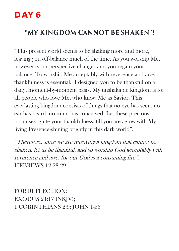#### "MY KINGDOM CANNOT BE SHAKEN"!

"This present world seems to be shaking more and more, leaving you off-balance much of the time. As you worship Me, however, your perspective changes and you regain your balance. To worship Me acceptably with reverence and awe, thankfulness is essential. I designed you to be thankful on a daily, moment-by-moment basis. My unshakable kingdom is for all people who love Me, who know Me as Savior. This everlasting kingdom consists of things that no eye has seen, no ear has heard, no mind has conceived. Let these precious promises ignite your thankfulness, till you are aglow with My living Presence-shining brightly in this dark world".

"Therefore, since we are receiving a kingdom that cannot be shaken, let us be thankful, and so worship God acceptably with reverence and awe, for our God is a consuming fire". HEBREWS 12:28-29

FOR REFLECTION: EXODUS 24:17 (NKJV); 1 CORINTHIANS 2:9; JOHN 14:3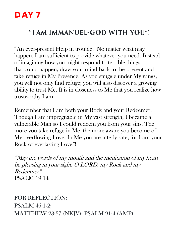#### "I AM IMMANUEL-GOD WITH YOU"!

"An ever-present Help in trouble. No matter what may happen, I am sufficient to provide whatever you need. Instead of imagining how you might respond to terrible things that could happen, draw your mind back to the present and take refuge in My Presence. As you snuggle under My wings, you will not only find refuge; you will also discover a growing ability to trust Me. It is in closeness to Me that you realize how trustworthy I am.

Remember that I am both your Rock and your Redeemer. Though I am impregnable in My vast strength, I became a vulnerable Man so I could redeem you from your sins. The more you take refuge in Me, the more aware you become of My overflowing Love. In Me you are utterly safe, for I am your Rock of everlasting Love"!

"May the words of my mouth and the meditation of my heart be pleasing in your sight, O LORD, my Rock and my Redeemer". PSALM 19:14

FOR REFLECTION: PSALM 46:1-2; MATTHEW 23:37 (NKJV); PSALM 91:4 (AMP)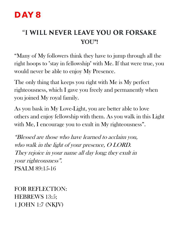#### "I WILL NEVER LEAVE YOU OR FORSAKE YOU"!

"Many of My followers think they have to jump through all the right hoops to "stay in fellowship" with Me. If that were true, you would never be able to enjoy My Presence.

The only thing that keeps you right with Me is My perfect righteousness, which I gave you freely and permanently when you joined My royal family.

As you bask in My Love-Light, you are better able to love others and enjoy fellowship with them. As you walk in this Light with Me, I encourage you to exult in My righteousness".

"Blessed are those who have learned to acclaim you, who walk in the light of your presence, O LORD. They rejoice in your name all day long; they exult in your righteousness". PSALM 89:15-16

FOR REFLECTION: HEBREWS 13:5; 1 JOHN 1:7 (NKJV)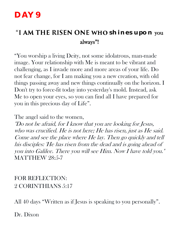#### "I AM THE RISEN ONE WHO shines upon you always"!

"You worship a living Deity, not some idolatrous, man-made image. Your relationship with Me is meant to be vibrant and challenging, as I invade more and more areas of your life. Do not fear change, for I am making you a new creation, with old things passing away and new things continually on the horizon. I Don't try to force-fit today into yesterday's mold. Instead, ask Me to open your eyes, so you can find all I have prepared for you in this precious day of Life".

The angel said to the women,

"Do not be afraid, for I know that you are looking for Jesus, who was crucified. He is not here; He has risen, just as He said. Come and see the place where He lay. Then go quickly and tell his disciples: 'He has risen from the dead and is going ahead of you into Galilee. There you will see Him. Now I have told you." MATTHEW 28:5-7

FOR REFLECTION: 2 CORINTHIANS 5:17

All 40 days "Written as if Jesus is speaking to you personally".

Dr. Dixon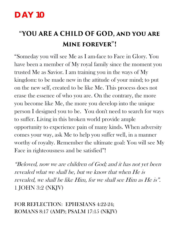## "YOU ARE A CHILD OF GOD, AND YOU ARE MINE FOREVER"!

"Someday you will see Me as I am-face to Face in Glory. You have been a member of My royal family since the moment you trusted Me as Savior. I am training you in the ways of My kingdom: to be made new in the attitude of your mind; to put on the new self, created to be like Me. This process does not erase the essence of who you are. On the contrary, the more you become like Me, the more you develop into the unique person I designed you to be. You don't need to search for ways to suffer. Living in this broken world provide ample opportunity to experience pain of many kinds. When adversity comes your way, ask Me to help you suffer well, in a manner worthy of royalty. Remember the ultimate goal: You will see My Face in righteousness and be satisfied"!

"Beloved, now we are children of God; and it has not yet been revealed what we shall be, but we know that when He is revealed, we shall be like Him, for we shall see Him as He is". 1 JOHN 3:2 (NKJV)

FOR REFLECTION: EPHESIANS 4:22-24; ROMANS 8:17 (AMP); PSALM 17:15 (NKJV)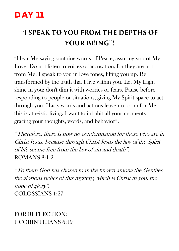## "I SPEAK TO YOU FROM THE DEPTHS OF **YOUR BEING"!**

"Hear Me saying soothing words of Peace, assuring you of My Love. Do not listen to voices of accusation, for they are not from Me. I speak to you in love tones, lifting you up. Be transformed by the truth that I live within you. Let My Light shine in you; don't dim it with worries or fears. Pause before responding to people or situations, giving My Spirit space to act through you. Hasty words and actions leave no room for Me; this is atheistic living. I want to inhabit all your moments- gracing your thoughts, words, and behavior".

"Therefore, there is now no condemnation for those who are in Christ Jesus, because through Christ Jesus the law of the Spirit of life set me free from the law of sin and death". ROMANS 8:1-2

"To them God has chosen to make known among the Gentiles the glorious riches of this mystery, which is Christ in you, the hope of glory". COLOSSIANS 1:27

#### FOR REFLECTION: 1 CORINTHIANS 6:19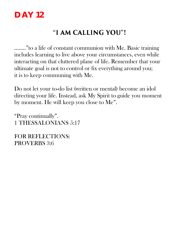#### "I AM CALLING YOU"!

…….."to a life of constant communion with Me. Basic training includes learning to live above your circumstances, even while interacting on that cluttered plane of life. Remember that your ultimate goal is not to control or fix everything around you; it is to keep communing with Me.

Do not let your to-do list (written or mental) become an idol directing your life. Instead, ask My Spirit to guide you moment by moment. He will keep you close to Me".

"Pray continually". 1 THESSALONIANS 5:17

FOR REFLECTIONS: PROVERBS 3:6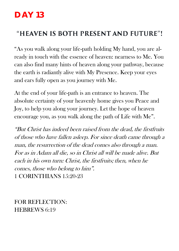#### "HEAVEN IS BOTH PRESENT AND FUTURE"!

"As you walk along your life-path holding My hand, you are already in touch with the essence of heaven: nearness to Me. You can also find many hints of heaven along your pathway, because the earth is radiantly alive with My Presence. Keep your eyes and ears fully open as you journey with Me.

At the end of your life-path is an entrance to heaven. The absolute certainty of your heavenly home gives you Peace and Joy, to help you along your journey. Let the hope of heaven encourage you, as you walk along the path of Life with Me".

"But Christ has indeed been raised from the dead, the firstfruits of those who have fallen asleep. For since death came through a man, the resurrection of the dead comes also through a man. For as in Adam all die, so in Christ all will be made alive. But each in his own turn: Christ, the firstfruits; then, when he comes, those who belong to him". 1 CORINTHIANS 15:20-23

FOR REFLECTION: HEBREWS 6:19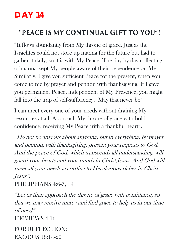#### "PEACE IS MY CONTINUAL GIFT TO YOU"!

"It flows abundantly from My throne of grace. Just as the Israelites could not store up manna for the future but had to gather it daily, so it is with My Peace. The day-by-day collecting of manna kept My people aware of their dependence on Me. Similarly, I give you sufficient Peace for the present, when you come to me by prayer and petition with thanksgiving. If I gave you permanent Peace, independent of My Presence, you might fall into the trap of self-sufficiency. May that never be!

I can meet every one of your needs without draining My resources at all. Approach My throne of grace with bold confidence, receiving My Peace with a thankful heart".

"Do not be anxious about anything, but in everything, by prayer and petition, with thanksgiving, present your requests to God. And the peace of God, which transcends all understanding, will guard your hearts and your minds in Christ Jesus. And God will meet all your needs according to His glorious riches in Christ Jesus".

#### PHILIPPIANS 4:6-7, 19

"Let us then approach the throne of grace with confidence, so that we may receive mercy and find grace to help us in our time of need".

HEBREWS 4:16

FOR REFLECTION: EXODUS 16:14-20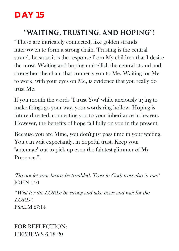#### "WAITING, TRUSTING, AND HOPING"!

"These are intricately connected, like golden strands interwoven to form a strong chain. Trusting is the central strand, because it is the response from My children that I desire the most. Waiting and hoping embellish the central strand and strengthen the chain that connects you to Me. Waiting for Me to work, with your eyes on Me, is evidence that you really do trust Me.

If you mouth the words "I trust You" while anxiously trying to make things go your way, your words ring hollow. Hoping is future-directed, connecting you to your inheritance in heaven. However, the benefits of hope fall fully on you in the present.

Because you are Mine, you don't just pass time in your waiting. You can wait expectantly, in hopeful trust. Keep your "antennae" out to pick up even the faintest glimmer of My Presence.".

"Do not let your hearts be troubled. Trust in God; trust also in me." JOHN 14:1

"Wait for the LORD; be strong and take heart and wait for the LORD". PSALM 27:14

FOR REFLECTION: HEBREWS 6:18-20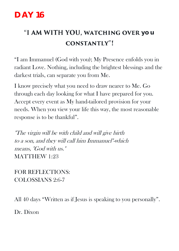## **"I AM WITH YOU, WATCHING OVER you CONSTANTLY"!**

"I am Immanuel (God with you); My Presence enfolds you in radiant Love. Nothing, including the brightest blessings and the darkest trials, can separate you from Me.

I know precisely what you need to draw nearer to Me. Go through each day looking for what I have prepared for you. Accept every event as My hand-tailored provision for your needs. When you view your life this way, the most reasonable response is to be thankful".

"The virgin will be with child and will give birth to a son, and they will call him Immanuel"-which means, "God with us." MATTHEW 1:23

FOR REFLECTIONS: COLOSSIANS 2:6-7

All 40 days "Written as if Jesus is speaking to you personally".

Dr. Dixon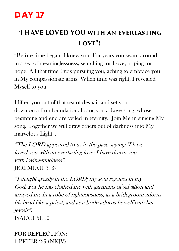## "I HAVE LOVED YOU WITH AN EVERLASTING LOVE"!

"Before time began, I knew you. For years you swam around in a sea of meaninglessness, searching for Love, hoping for hope. All that time I was pursuing you, aching to embrace you in My compassionate arms. When time was right, I revealed Myself to you.

I lifted you out of that sea of despair and set you down on a firm foundation. I sang you a Love song, whose beginning and end are veiled in eternity. Join Me in singing My song. Together we will draw others out of darkness into My marvelous Light".

"The LORD appeared to us in the past, saying: "I have loved you with an everlasting love; I have drawn you with loving-kindness". JEREMIAH 31:3

"I delight greatly in the LORD; my soul rejoices in my God. For he has clothed me with garments of salvation and arrayed me in a robe of righteousness, as a bridegroom adorns his head like a priest, and as a bride adorns herself with her jewels".

ISAIAH 61:10

FOR REFLECTION: 1 PETER 2:9 (NKJV)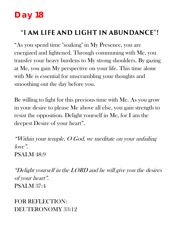## **Day 18**

#### "I AM LIFE AND LIGHT IN ABUNDANCE"!

"As you spend time "soaking" in My Presence, you are energized and lightened. Through communing with Me, you transfer your heavy burdens to My strong shoulders. By gazing at Me, you gain My perspective on your life. This time alone with Me is essential for unscrambling your thoughts and smoothing out the day before you.

Be willing to fight for this precious time with Me. As you grow in your desire to please Me above all else, you gain strength to resist the opposition. Delight yourself in Me, for I am the deepest Desire of your heart".

"Within your temple, O God, we meditate on your unfailing love". PSALM 48:9

"Delight yourself in the LORD and he will give you the desires of your heart". PSALM 37:4

FOR REFLECTION: DEUTERONOMY 33:12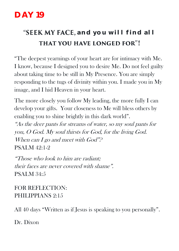## **"SEEK MY FACE, and you will find all** THAT YOU HAVE LONGED FOR"!

"The deepest yearnings of your heart are for intimacy with Me. I know, because I designed you to desire Me. Do not feel guilty about taking time to be still in My Presence. You are simply responding to the tugs of divinity within you. I made you in My image, and I hid Heaven in your heart.

The more closely you follow My leading, the more fully I can develop your gifts. Your closeness to Me will bless others by enabling you to shine brightly in this dark world".

"As the deer pants for streams of water, so my soul pants for you, O God. My soul thirsts for God, for the living God. When can I go and meet with  $God$ "? PSALM 42:1-2

"Those who look to him are radiant; their faces are never covered with shame". PSALM 34:5

FOR REFLECTION: PHILIPPIANS 2:15

All 40 days "Written as if Jesus is speaking to you personally".

Dr. Dixon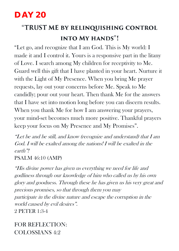## "TRUST ME BY RELINQUISHING CONTROL **INTO MY HANDS"!**

"Let go, and recognize that I am God. This is My world: I made it and I control it. Yours is a responsive part in the litany of Love. I search among My children for receptivity to Me. Guard well this gift that I have planted in your heart. Nurture it with the Light of My Presence. When you bring Me prayer requests, lay out your concerns before Me. Speak to Me candidly; pour out your heart. Then thank Me for the answers that I have set into motion long before you can discern results. When you thank Me for how I am answering your prayers, your mind-set becomes much more positive. Thankful prayers keep your focus on My Presence and My Promises".

"Let be and be still, and know (recognize and understand) that I am God. I will be exalted among the nations! I will be exalted in the earth"!

PSALM 46:10 (AMP)

"His divine power has given us everything we need for life and godliness through our knowledge of him who called us by his own glory and goodness. Through these he has given us his very great and precious promises, so that through them you may participate in the divine nature and escape the corruption in the world caused by evil desires". 2 PETER 1:3-4

FOR REFLECTION: COLOSSIANS 4:2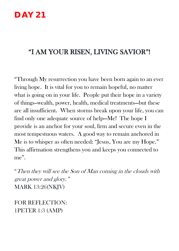#### "I AM YOUR RISEN, LIVING SAVIOR"!

"Through My resurrection you have been born again to an ever living hope. It is vital for you to remain hopeful, no matter what is going on in your life. People put their hope in a variety of things--wealth, power, health, medical treatments—but these are all insufficient. When storms break upon your life, you can find only one adequate source of help—Me! The hope I provide is an anchor for your soul, firm and secure even in the most tempestuous waters. A good way to remain anchored in Me is to whisper as often needed: "Jesus, You are my Hope." This affirmation strengthens you and keeps you connected to me".

"Then they will see the Son of Man coming in the clouds with great power and glory." MARK 13:26(NKJV)

FOR REFLECTION: 1PETER 1:3 (AMP)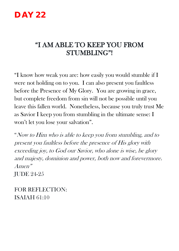#### "I AM ABLE TO KEEP YOU FROM STUMBLING"!

"I know how weak you are: how easily you would stumble if I were not holding on to you. I can also present you faultless before the Presence of My Glory. You are growing in grace, but complete freedom from sin will not be possible until you leave this fallen world. Nonetheless, because you truly trust Me as Savior I keep you from stumbling in the ultimate sense: I won't let you lose your salvation".

"Now to Him who is able to keep you from stumbling, and to present you faultless before the presence of His glory with exceeding joy, to God our Savior, who alone is wise, be glory and majesty, dominion and power, both now and forevermore. Amen" JUDE 24-25

FOR REFLECTION: ISAIAH 61:10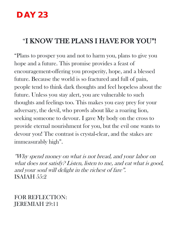#### "I KNOW THE PLANS I HAVE FOR YOU"!

"Plans to prosper you and not to harm you, plans to give you hope and a future. This promise provides a feast of encouragement-offering you prosperity, hope, and a blessed future. Because the world is so fractured and full of pain, people tend to think dark thoughts and feel hopeless about the future. Unless you stay alert, you are vulnerable to such thoughts and feelings too. This makes you easy prey for your adversary, the devil, who prowls about like a roaring lion, seeking someone to devour. I gave My body on the cross to provide eternal nourishment for you, but the evil one wants to devour you! The contrast is crystal-clear, and the stakes are immeasurably high".

"Why spend money on what is not bread, and your labor on what does not satisfy? Listen, listen to me, and eat what is good, and your soul will delight in the richest of fare". ISAIAH 55:2

FOR REFLECTION: JEREMIAH 29:11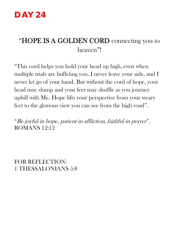#### "HOPE IS A GOLDEN CORD connecting you to heaven"!

"This cord helps you hold your head up high, even when multiple trials are buffeting you. I never leave your side, and I never let go of your hand. But without the cord of hope, your head may slump and your feet may shuffle as you journey uphill with Me. Hope lifts your perspective from your weary feet to the glorious view you can see from the high road".

"Be joyful in hope, patient in affliction, faithful in prayer". ROMANS 12:12

FOR REFLECTION: 1 THESSALONIANS 5:8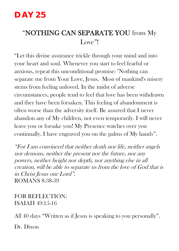#### "NOTHING CAN SEPARATE YOU from My Love"!

"Let this divine assurance trickle through your mind and into your heart and soul. Whenever you start to feel fearful or anxious, repeat this unconditional promise: "Nothing can separate me from Your Love, Jesus. Most of mankind's misery stems from feeling unloved. In the midst of adverse circumstances, people tend to feel that love has been withdrawn and they have been forsaken. This feeling of abandonment is often worse than the adversity itself. Be assured that I never abandon any of My children, not even temporarily. I will never leave you or forsake you! My Presence watches over you continually. I have engraved you on the palms of My hands".

"For I am convinced that neither death nor life, neither angels nor demons, neither the present nor the future, nor any powers, neither height nor depth, nor anything else in all creation, will be able to separate us from the love of God that is in Christ Jesus our Lord". ROMANS 8:38-39

FOR REFLECTION: ISAIAH 49:15-16

All 40 days "Written as if Jesus is speaking to you personally".

Dr. Dixon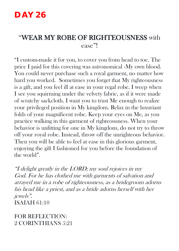#### "WEAR MY ROBE OF RIGHTEOUSNESS with ease"!

"I custom-made it for you, to cover you from head to toe. The price I paid for this covering was astronomical -My own blood. You could never purchase such a royal garment, no matter how hard you worked. Sometimes you forget that My righteousness is a gift, and you feel ill at ease in your regal robe. I weep when I see you squirming under the velvety fabric, as if it were made of scratchy sackcloth. I want you to trust Me enough to realize your privileged position in My kingdom. Relax in the luxuriant folds of your magnificent robe. Keep your eyes on Me, as you practice walking in this garment of righteousness. When your behavior is unfitting for one in My kingdom, do not try to throw off your royal robe. Instead, throw off the unrighteous behavior. Then you will be able to feel at ease in this glorious garment, enjoying the gift I fashioned for you before the foundation of the world".

"I delight greatly in the LORD; my soul rejoices in my God. For he has clothed me with garments of salvation and arrayed me in a robe of righteousness, as a bridegroom adorns his head like a priest, and as a bride adorns herself with her jewels". ISAIAH 61:10

FOR REFLECTION: 2 CORINTHIANS 5:21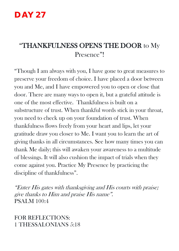#### "THANKFULNESS OPENS THE DOOR to My Presence"!

"Though I am always with you, I have gone to great measures to preserve your freedom of choice. I have placed a door between you and Me, and I have empowered you to open or close that door. There are many ways to open it, but a grateful attitude is one of the most effective. Thankfulness is built on a substructure of trust. When thankful words stick in your throat, you need to check up on your foundation of trust. When thankfulness flows freely from your heart and lips, let your gratitude draw you closer to Me. I want you to learn the art of giving thanks in all circumstances. See how many times you can thank Me daily; this will awaken your awareness to a multitude of blessings. It will also cushion the impact of trials when they come against you. Practice My Presence by practicing the discipline of thankfulness".

"Enter His gates with thanksgiving and His courts with praise; give thanks to Him and praise His name". PSALM 100:4

FOR REFLECTIONS: 1 THESSALONIANS 5:18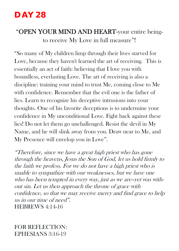#### "OPEN YOUR MIND AND HEART-your entire beingto receive My Love in full measure"!

"So many of My children limp through their lives starved for Love, because they haven't learned the art of receiving. This is essentially an act of faith: believing that I love you with boundless, everlasting Love. The art of receiving is also a discipline: training your mind to trust Me, coming close to Me with confidence. Remember that the evil one is the father of lies. Learn to recognize his deceptive intrusions into your thoughts. One of his favorite deceptions is to undermine your confidence in My unconditional Love. Fight back against these lies! Do not let them go unchallenged. Resist the devil in My Name, and he will slink away from you. Draw near to Me, and My Presence will envelop you in Love".

"Therefore, since we have a great high priest who has gone through the heavens, Jesus the Son of God, let us hold firmly to the faith we profess. For we do not have a high priest who is unable to sympathize with our weaknesses, but we have one who has been tempted in every way, just as we are--yet was without sin. Let us then approach the throne of grace with confidence, so that we may receive mercy and find grace to help us in our time of need". HEBREWS 4:14-16

FOR REFLECTION: EPHESIANS 3:16-19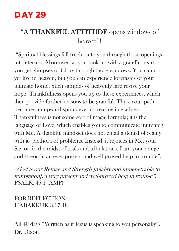#### "A THANKFUL ATTITUDE opens windows of heaven"!

"Spiritual blessings fall freely onto you through those openings into eternity. Moreover, as you look up with a grateful heart, you get glimpses of Glory through those windows. You cannot yet live in heaven, but you can experience foretastes of your ultimate home. Such samples of heavenly fare revive your hope. Thankfulness opens you up to these experiences, which then provide further reasons to be grateful. Thus, your path becomes an upward spiral: ever increasing in gladness. Thankfulness is not some sort of magic formula; it is the language of Love, which enables you to communicate intimately with Me. A thankful mind-set does not entail a denial of reality with its plethora of problems. Instead, it rejoices in Me, your Savior, in the midst of trials and tribulations. I am your refuge and strength, an ever-present and well-proved help in trouble".

"God is our Refuge and Strength [mighty and impenetrable to temptation], a very present and well-proved help in trouble". PSALM 46:1 (AMP)

FOR REFLECTION: HABAKKUK 3:17-18

All 40 days "Written as if Jesus is speaking to you personally". Dr. Dixon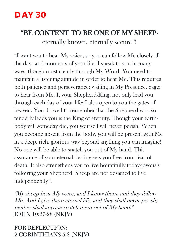#### "BE CONTENT TO BE ONE OF MY SHEEPeternally known, eternally secure"!

"I want you to hear My voice, so you can follow Me closely all the days and moments of your life. I speak to you in many ways, though most clearly through My Word. You need to maintain a listening attitude in order to hear Me. This requires both patience and perseverance: waiting in My Presence, eager to hear from Me. I, your Shepherd-King, not only lead you through each day of your life; I also open to you the gates of heaven. You do well to remember that the Shepherd who so tenderly leads you is the King of eternity. Though your earthbody will someday die, you yourself will never perish. When you become absent from the body, you will be present with Me in a deep, rich, glorious way beyond anything you can imagine! No one will be able to snatch you out of My hand. This assurance of your eternal destiny sets you free from fear of death. It also strengthens you to live bountifully today-joyously following your Shepherd. Sheep are not designed to live independently".

"My sheep hear My voice, and I know them, and they follow Me. And I give them eternal life, and they shall never perish; neither shall anyone snatch them out of My hand." JOHN 10:27-28 (NKJV)

FOR REFLECTION: 2 CORINTHIANS 5:8 (NKJV)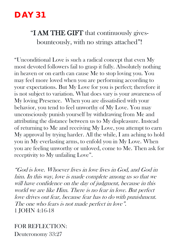#### "I AM THE GIFT that continuously givesbounteously, with no strings attached"!

"Unconditional Love is such a radical concept that even My most devoted followers fail to grasp it fully. Absolutely nothing in heaven or on earth can cause Me to stop loving you. You may feel more loved when you are performing according to your expectations. But My Love for you is perfect; therefore it is not subject to variation. What does vary is your awareness of My loving Presence. When you are dissatisfied with your behavior, you tend to feel unworthy of My Love. You may unconsciously punish yourself by withdrawing from Me and attributing the distance between us to My displeasure. Instead of returning to Me and receiving My Love, you attempt to earn My approval by trying harder. All the while, I am aching to hold you in My everlasting arms, to enfold you in My Love. When you are feeling unworthy or unloved, come to Me. Then ask for receptivity to My unfailing Love".

"God is love. Whoever lives in love lives in God, and God in him. In this way, love is made complete among us so that we will have confidence on the day of judgment, because in this world we are like Him. There is no fear in love. But perfect love drives out fear, because fear has to do with punishment. The one who fears is not made perfect in love". 1 JOHN 4:16-18

FOR REFLECTION: Deuteronomy 33:27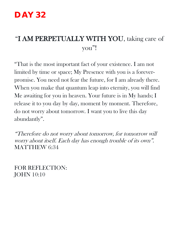#### "I AM PERPETUALLY WITH YOU, taking care of you"!

"That is the most important fact of your existence. I am not limited by time or space; My Presence with you is a foreverpromise. You need not fear the future, for I am already there. When you make that quantum leap into eternity, you will find Me awaiting for you in heaven. Your future is in My hands; I release it to you day by day, moment by moment. Therefore, do not worry about tomorrow. I want you to live this day abundantly".

"Therefore do not worry about tomorrow, for tomorrow will worry about itself. Each day has enough trouble of its own". MATTHEW 6:34

FOR REFLECTION: JOHN 10:10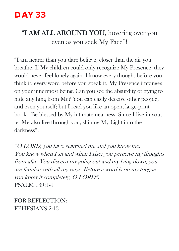#### "I AM ALL AROUND YOU, hovering over you even as you seek My Face"!

"I am nearer than you dare believe, closer than the air you breathe. If My children could only recognize My Presence, they would never feel lonely again. I know every thought before you think it, every word before you speak it. My Presence impinges on your innermost being. Can you see the absurdity of trying to hide anything from Me? You can easily deceive other people, and even yourself; but I read you like an open, large-print book. Be blessed by My intimate nearness. Since I live in you, let Me also live through you, shining My Light into the darkness".

"O LORD, you have searched me and you know me. You know when I sit and when I rise; you perceive my thoughts from afar. You discern my going out and my lying down; you are familiar with all my ways. Before a word is on my tongue you know it completely, O LORD". PSALM 139:1-4

FOR REFLECTION: EPHESIANS 2:13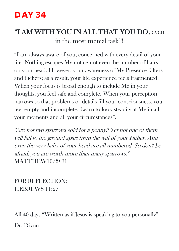## "I AM WITH YOU IN ALL THAT YOU DO, even in the most menial task"!

"I am always aware of you, concerned with every detail of your life. Nothing escapes My notice-not even the number of hairs on your head. However, your awareness of My Presence falters and flickers; as a result, your life experience feels fragmented. When your focus is broad enough to include Me in your thoughts, you feel safe and complete. When your perception narrows so that problems or details fill your consciousness, you feel empty and incomplete. Learn to look steadily at Me in all your moments and all your circumstances".

"Are not two sparrows sold for a penny? Yet not one of them will fall to the ground apart from the will of your Father. And even the very hairs of your head are all numbered. So don't be afraid; you are worth more than many sparrows." MATTHEW10:29-31

FOR REFLECTION: HEBREWS 11:27

All 40 days "Written as if Jesus is speaking to you personally". Dr. Dixon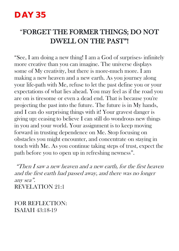#### "FORGET THE FORMER THINGS; DO NOT DWELL ON THE PAST"!

"See, I am doing a new thing! I am a God of surprises- infinitely more creative than you can imagine. The universe displays some of My creativity, but there is more-much more. I am making a new heaven and a new earth. As you journey along your life-path with Me, refuse to let the past define you or your expectations of what lies ahead. You may feel as if the road you are on is tiresome or even a dead end. That is because you're projecting the past into the future. The future is in My hands, and I can do surprising things with it! Your gravest danger is giving up: ceasing to believe I can still do wondrous new things in you and your world. Your assignment is to keep moving forward in trusting dependence on Me. Stop focusing on obstacles you might encounter, and concentrate on staying in touch with Me. As you continue taking steps of trust, expect the path before you to open up in refreshing newness".

"Then I saw a new heaven and a new earth, for the first heaven and the first earth had passed away, and there was no longer any sea". REVELATION 21:1

FOR REFLECTION: ISAIAH 43:18-19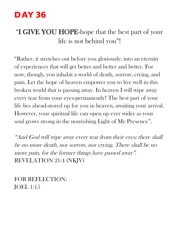#### "I GIVE YOU HOPE-hope that the best part of your life is not behind you"!

"Rather, it stretches out before you gloriously: into an eternity of experiences that will get better and better and better. For now, though, you inhabit a world of death, sorrow, crying, and pain. Let the hope of heaven empower you to live well in this broken world that is passing away. In heaven I will wipe away every tear from your eyes-permanently! The best part of your life lies ahead-stored up for you in heaven, awaiting your arrival. However, your spiritual life can open up ever wider as your soul grows strong in the nourishing Light of My Presence".

"And God will wipe away every tear from their eyes; there shall be no more death, nor sorrow, nor crying. There shall be no more pain, for the former things have passed away". REVELATION 21:4 (NKJV)

FOR REFLECTION: JOEL 1:15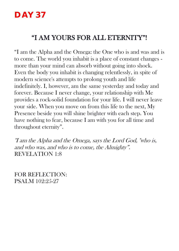#### "I AM YOURS FOR ALL ETERNITY"!

"I am the Alpha and the Omega: the One who is and was and is to come. The world you inhabit is a place of constant changes more than your mind can absorb without going into shock. Even the body you inhabit is changing relentlessly, in spite of modern science's attempts to prolong youth and life indefinitely. I, however, am the same yesterday and today and forever. Because I never change, your relationship with Me provides a rock-solid foundation for your life. I will never leave your side. When you move on from this life to the next, My Presence beside you will shine brighter with each step. You have nothing to fear, because I am with you for all time and throughout eternity".

"I am the Alpha and the Omega, says the Lord God, "who is, and who was, and who is to come, the Almighty". REVELATION 1:8

FOR REFLECTION: PSALM 102:25-27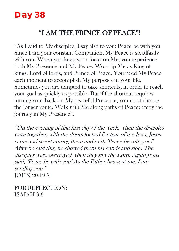## **Day 38**

#### "I AM THE PRINCE OF PEACE"!

"As I said to My disciples, I say also to you: Peace be with you. Since I am your constant Companion, My Peace is steadfastly with you. When you keep your focus on Me, you experience both My Presence and My Peace. Worship Me as King of kings, Lord of lords, and Prince of Peace. You need My Peace each moment to accomplish My purposes in your life. Sometimes you are tempted to take shortcuts, in order to reach your goal as quickly as possible. But if the shortcut requires turning your back on My peaceful Presence, you must choose the longer route. Walk with Me along paths of Peace; enjoy the journey in My Presence".

"On the evening of that first day of the week, when the disciples were together, with the doors locked for fear of the Jews, Jesus came and stood among them and said, "Peace be with you!" After he said this, he showed them his hands and side. The disciples were overjoyed when they saw the Lord. Again Jesus said, "Peace be with you! As the Father has sent me, I am sending you." JOHN 20:19-21

FOR REFLECTION: ISAIAH 9:6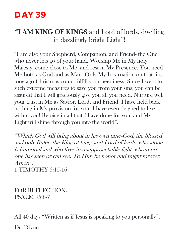#### "I AM KING OF KINGS and Lord of lords, dwelling in dazzlingly bright Light"!

"I am also your Shepherd, Companion, and Friend- the One who never lets go of your hand. Worship Me in My holy Majesty; come close to Me, and rest in My Presence. You need Me both as God and as Man. Only My Incarnation on that first, long-ago Christmas could fulfill your neediness. Since I went to such extreme measures to save you from your sins, you can be assured that I will graciously give you all you need. Nurture well your trust in Me as Savior, Lord, and Friend. I have held back nothing in My provision for you. I have even deigned to live within you! Rejoice in all that I have done for you, and My Light will shine through you into the world".

"Which God will bring about in his own time-God, the blessed and only Ruler, the King of kings and Lord of lords, who alone is immortal and who lives in unapproachable light, whom no one has seen or can see. To Him be honor and might forever. Amen".

1 TIMOTHY 6:15-16

FOR REFLECTION: PSALM 95:6-7

All 40 days "Written as if Jesus is speaking to you personally".

Dr. Dixon